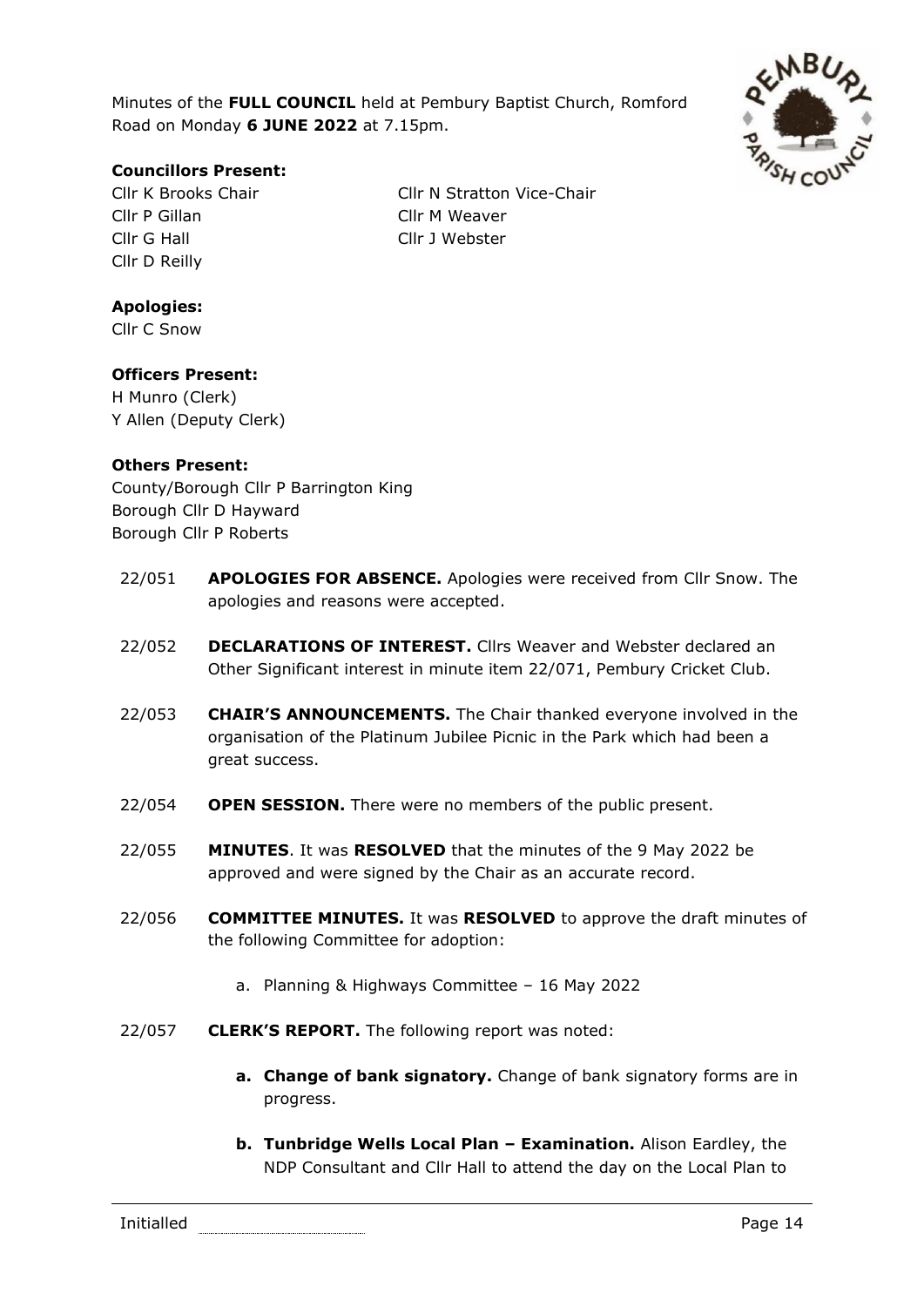Minutes of the **FULL COUNCIL** held at Pembury Baptist Church, Romford Road on Monday **6 JUNE 2022** at 7.15pm.



# **Councillors Present:**

Cllr P Gillan Cllr M Weaver Cllr G Hall Cllr J Webster Cllr D Reilly

Cllr K Brooks Chair Cllr N Stratton Vice-Chair

# **Apologies:**

Cllr C Snow

# **Officers Present:**

H Munro (Clerk) Y Allen (Deputy Clerk)

### **Others Present:**

County/Borough Cllr P Barrington King Borough Cllr D Hayward Borough Cllr P Roberts

- 22/051 **APOLOGIES FOR ABSENCE.** Apologies were received from Cllr Snow. The apologies and reasons were accepted.
- 22/052 **DECLARATIONS OF INTEREST.** Cllrs Weaver and Webster declared an Other Significant interest in minute item 22/071, Pembury Cricket Club.
- 22/053 **CHAIR'S ANNOUNCEMENTS.** The Chair thanked everyone involved in the organisation of the Platinum Jubilee Picnic in the Park which had been a great success.
- 22/054 **OPEN SESSION.** There were no members of the public present.
- 22/055 **MINUTES**. It was **RESOLVED** that the minutes of the 9 May 2022 be approved and were signed by the Chair as an accurate record.
- 22/056 **COMMITTEE MINUTES.** It was **RESOLVED** to approve the draft minutes of the following Committee for adoption:
	- a. Planning & Highways Committee 16 May 2022
- 22/057 **CLERK'S REPORT.** The following report was noted:
	- **a. Change of bank signatory.** Change of bank signatory forms are in progress.
	- **b. Tunbridge Wells Local Plan – Examination.** Alison Eardley, the NDP Consultant and Cllr Hall to attend the day on the Local Plan to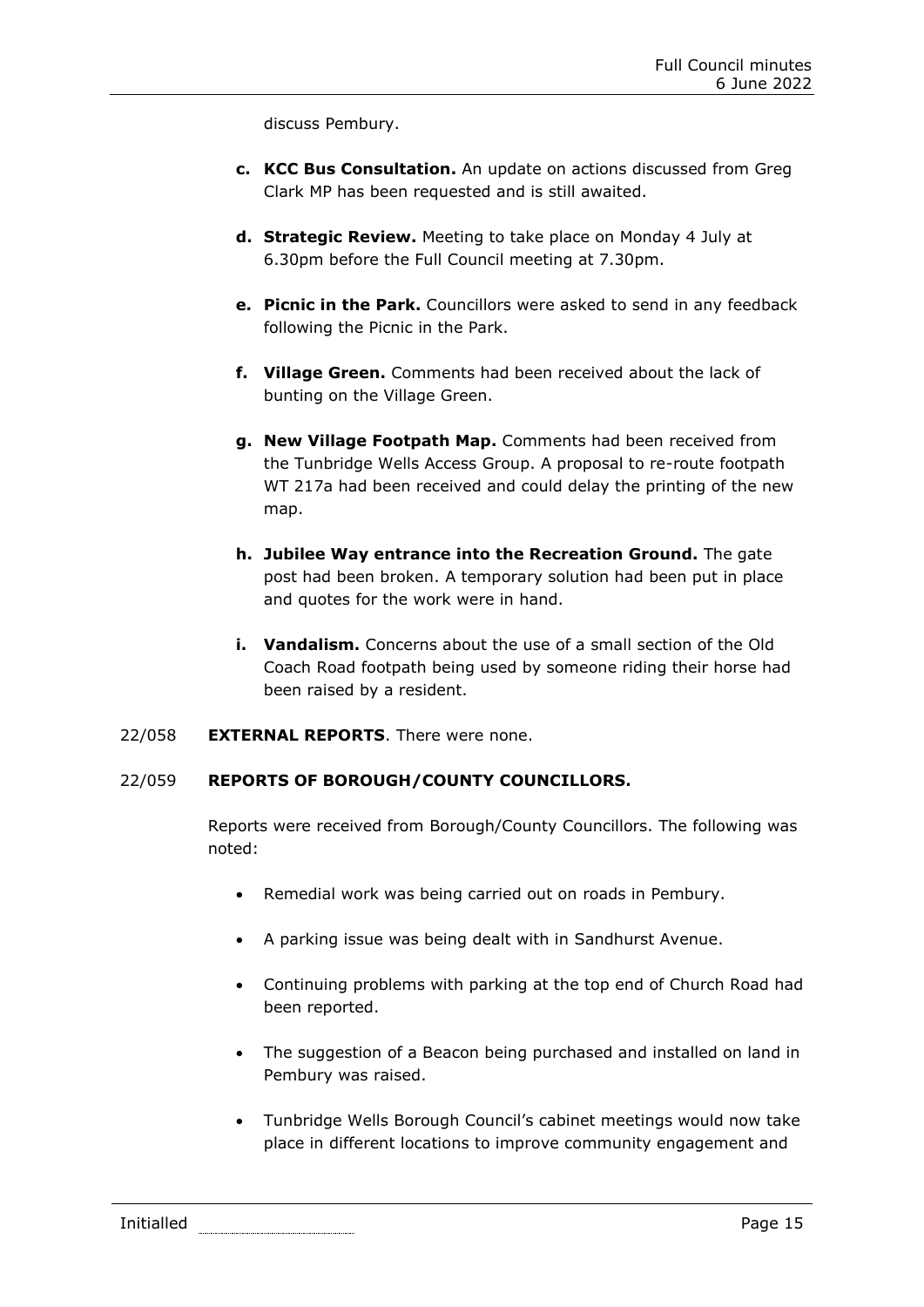discuss Pembury.

- **c. KCC Bus Consultation.** An update on actions discussed from Greg Clark MP has been requested and is still awaited.
- **d. Strategic Review.** Meeting to take place on Monday 4 July at 6.30pm before the Full Council meeting at 7.30pm.
- **e. Picnic in the Park.** Councillors were asked to send in any feedback following the Picnic in the Park.
- **f. Village Green.** Comments had been received about the lack of bunting on the Village Green.
- **g. New Village Footpath Map.** Comments had been received from the Tunbridge Wells Access Group. A proposal to re-route footpath WT 217a had been received and could delay the printing of the new map.
- **h. Jubilee Way entrance into the Recreation Ground.** The gate post had been broken. A temporary solution had been put in place and quotes for the work were in hand.
- **i. Vandalism.** Concerns about the use of a small section of the Old Coach Road footpath being used by someone riding their horse had been raised by a resident.

#### 22/058 **EXTERNAL REPORTS**. There were none.

# 22/059 **REPORTS OF BOROUGH/COUNTY COUNCILLORS.**

Reports were received from Borough/County Councillors. The following was noted:

- Remedial work was being carried out on roads in Pembury.
- A parking issue was being dealt with in Sandhurst Avenue.
- Continuing problems with parking at the top end of Church Road had been reported.
- The suggestion of a Beacon being purchased and installed on land in Pembury was raised.
- Tunbridge Wells Borough Council's cabinet meetings would now take place in different locations to improve community engagement and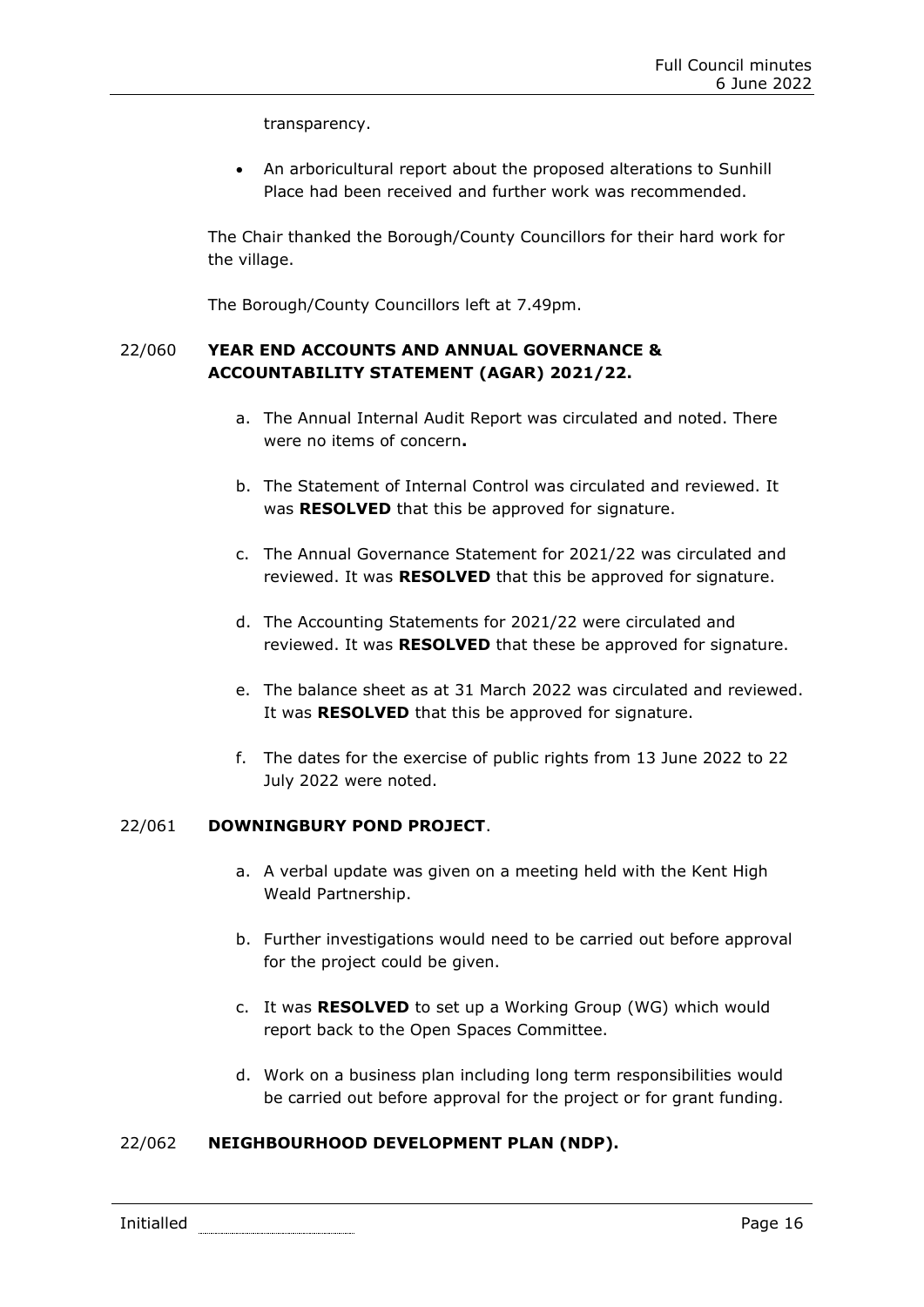transparency.

• An arboricultural report about the proposed alterations to Sunhill Place had been received and further work was recommended.

The Chair thanked the Borough/County Councillors for their hard work for the village.

The Borough/County Councillors left at 7.49pm.

# 22/060 **YEAR END ACCOUNTS AND ANNUAL GOVERNANCE & ACCOUNTABILITY STATEMENT (AGAR) 2021/22.**

- a. The Annual Internal Audit Report was circulated and noted. There were no items of concern**.**
- b. The Statement of Internal Control was circulated and reviewed. It was **RESOLVED** that this be approved for signature.
- c. The Annual Governance Statement for 2021/22 was circulated and reviewed. It was **RESOLVED** that this be approved for signature.
- d. The Accounting Statements for 2021/22 were circulated and reviewed. It was **RESOLVED** that these be approved for signature.
- e. The balance sheet as at 31 March 2022 was circulated and reviewed. It was **RESOLVED** that this be approved for signature.
- f. The dates for the exercise of public rights from 13 June 2022 to 22 July 2022 were noted.

# 22/061 **DOWNINGBURY POND PROJECT**.

- a. A verbal update was given on a meeting held with the Kent High Weald Partnership.
- b. Further investigations would need to be carried out before approval for the project could be given.
- c. It was **RESOLVED** to set up a Working Group (WG) which would report back to the Open Spaces Committee.
- d. Work on a business plan including long term responsibilities would be carried out before approval for the project or for grant funding.

# 22/062 **NEIGHBOURHOOD DEVELOPMENT PLAN (NDP).**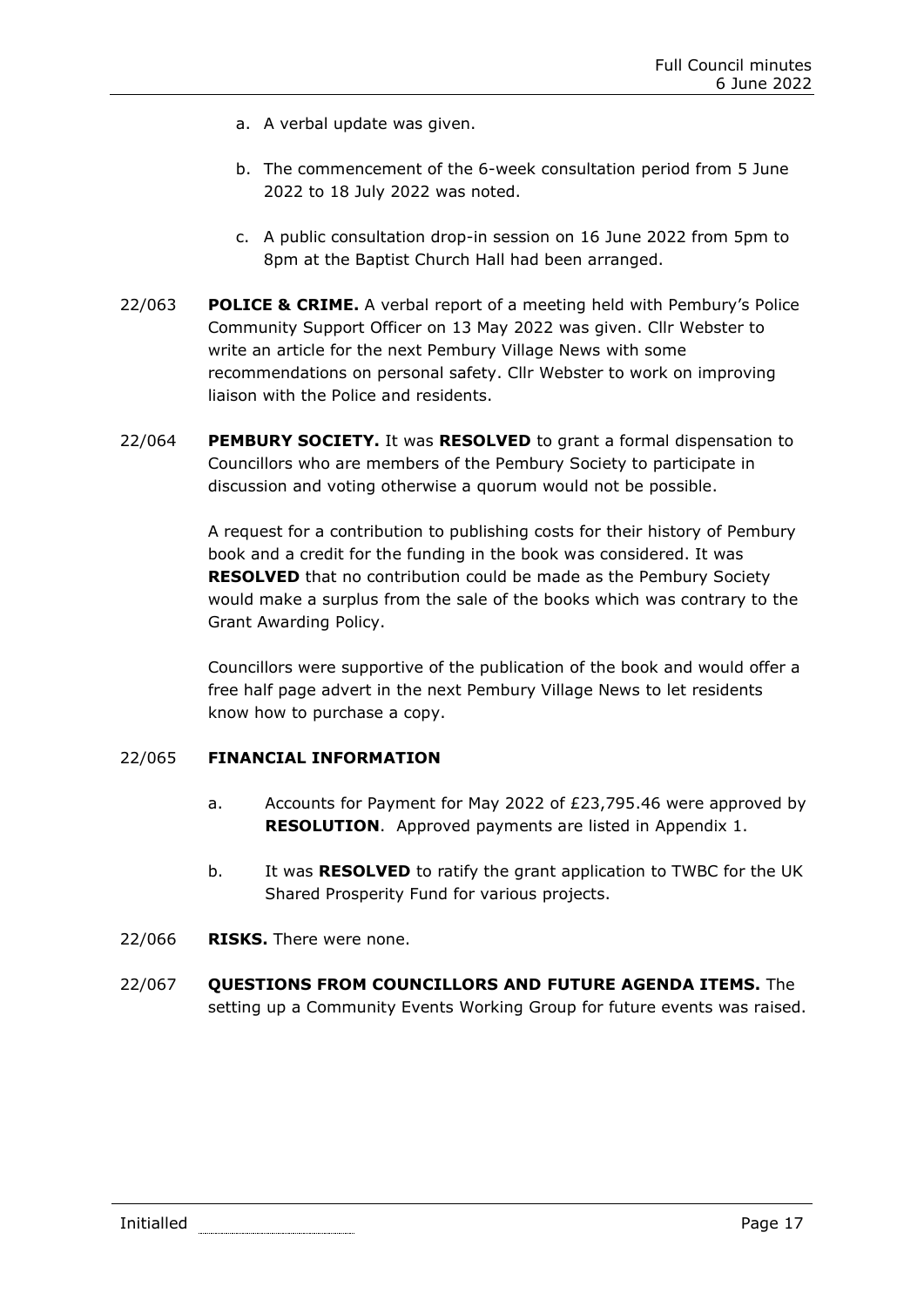- a. A verbal update was given.
- b. The commencement of the 6-week consultation period from 5 June 2022 to 18 July 2022 was noted.
- c. A public consultation drop-in session on 16 June 2022 from 5pm to 8pm at the Baptist Church Hall had been arranged.
- 22/063 **POLICE & CRIME.** A verbal report of a meeting held with Pembury's Police Community Support Officer on 13 May 2022 was given. Cllr Webster to write an article for the next Pembury Village News with some recommendations on personal safety. Cllr Webster to work on improving liaison with the Police and residents.
- 22/064 **PEMBURY SOCIETY.** It was **RESOLVED** to grant a formal dispensation to Councillors who are members of the Pembury Society to participate in discussion and voting otherwise a quorum would not be possible.

A request for a contribution to publishing costs for their history of Pembury book and a credit for the funding in the book was considered. It was **RESOLVED** that no contribution could be made as the Pembury Society would make a surplus from the sale of the books which was contrary to the Grant Awarding Policy.

Councillors were supportive of the publication of the book and would offer a free half page advert in the next Pembury Village News to let residents know how to purchase a copy.

# 22/065 **FINANCIAL INFORMATION**

- a. Accounts for Payment for May 2022 of £23,795.46 were approved by **RESOLUTION**. Approved payments are listed in Appendix 1.
- b. It was **RESOLVED** to ratify the grant application to TWBC for the UK Shared Prosperity Fund for various projects.
- 22/066 **RISKS.** There were none.
- 22/067 **QUESTIONS FROM COUNCILLORS AND FUTURE AGENDA ITEMS.** The setting up a Community Events Working Group for future events was raised.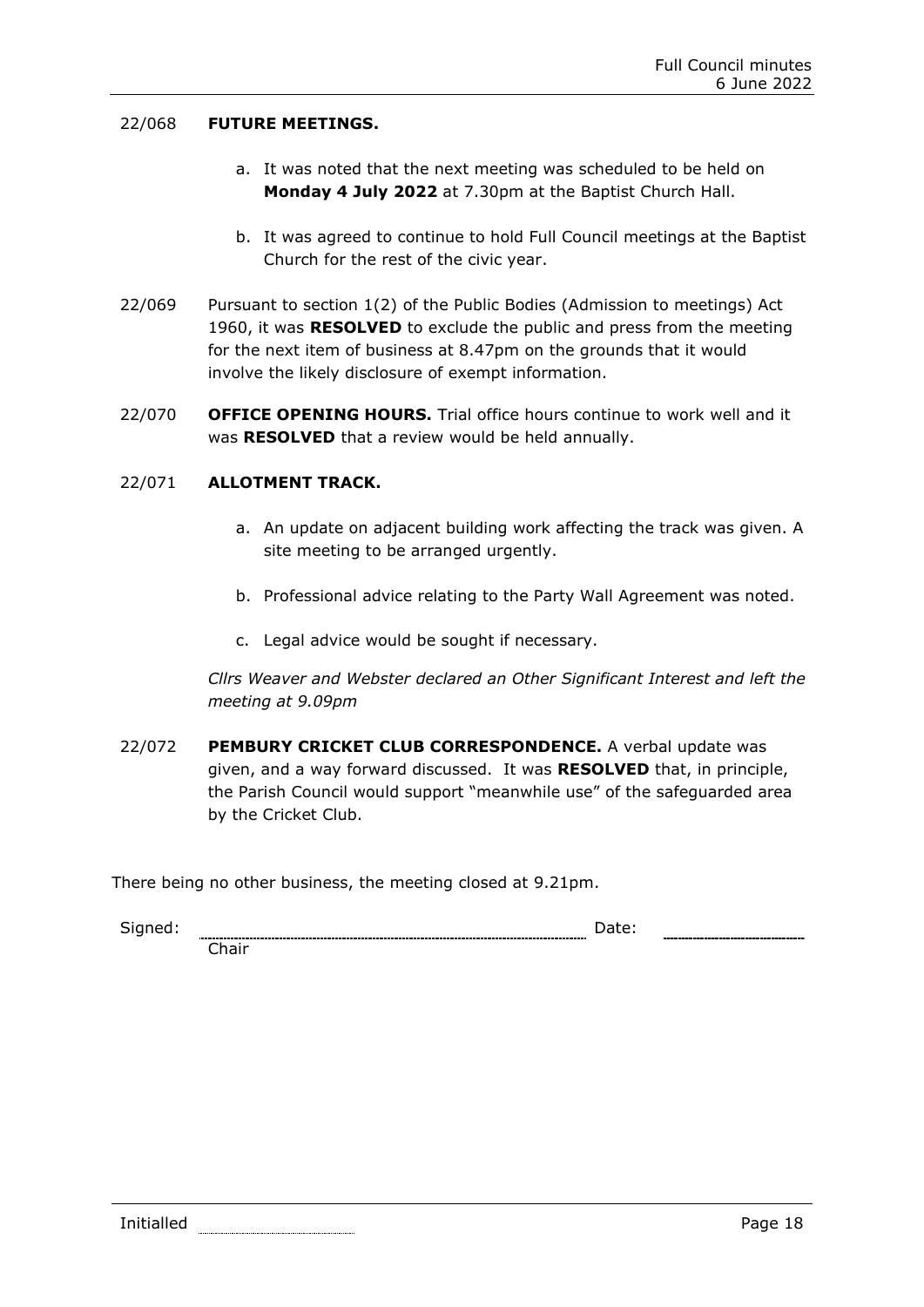### 22/068 **FUTURE MEETINGS.**

- a. It was noted that the next meeting was scheduled to be held on **Monday 4 July 2022** at 7.30pm at the Baptist Church Hall.
- b. It was agreed to continue to hold Full Council meetings at the Baptist Church for the rest of the civic year.
- 22/069 Pursuant to section 1(2) of the Public Bodies (Admission to meetings) Act 1960, it was **RESOLVED** to exclude the public and press from the meeting for the next item of business at 8.47pm on the grounds that it would involve the likely disclosure of exempt information.
- 22/070 **OFFICE OPENING HOURS.** Trial office hours continue to work well and it was **RESOLVED** that a review would be held annually.

### 22/071 **ALLOTMENT TRACK.**

- a. An update on adjacent building work affecting the track was given. A site meeting to be arranged urgently.
- b. Professional advice relating to the Party Wall Agreement was noted.
- c. Legal advice would be sought if necessary.

*Cllrs Weaver and Webster declared an Other Significant Interest and left the meeting at 9.09pm*

22/072 **PEMBURY CRICKET CLUB CORRESPONDENCE.** A verbal update was given, and a way forward discussed. It was **RESOLVED** that, in principle, the Parish Council would support "meanwhile use" of the safeguarded area by the Cricket Club.

There being no other business, the meeting closed at 9.21pm.

Signed: **Date:** Date: **Date: Date: Date: Date: Date: Date: Date: Date: Date: Date: Date: Date: Date: Date: Date: Date: Date: Date: Date: Date: Date: Date: Date: Date: Date:**

Initialled **Page 18** 

Chair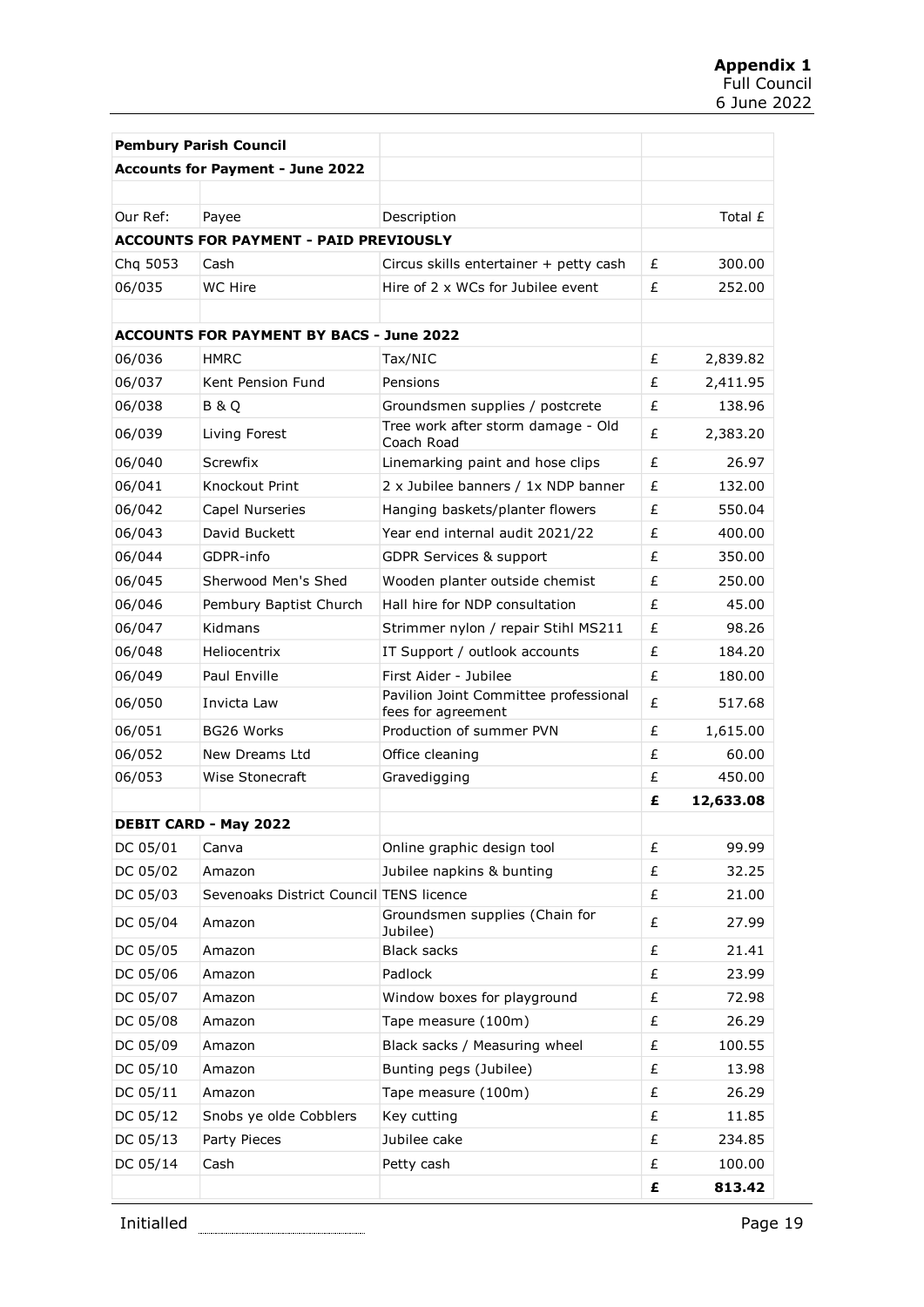| <b>Pembury Parish Council</b>                 |                                                 |                                                             |   |           |  |  |
|-----------------------------------------------|-------------------------------------------------|-------------------------------------------------------------|---|-----------|--|--|
| <b>Accounts for Payment - June 2022</b>       |                                                 |                                                             |   |           |  |  |
|                                               |                                                 |                                                             |   |           |  |  |
| Our Ref:                                      | Payee                                           | Description                                                 |   | Total £   |  |  |
| <b>ACCOUNTS FOR PAYMENT - PAID PREVIOUSLY</b> |                                                 |                                                             |   |           |  |  |
| Chg 5053                                      | Cash                                            | Circus skills entertainer + petty cash                      | £ | 300.00    |  |  |
| 06/035                                        | <b>WC Hire</b>                                  | Hire of 2 x WCs for Jubilee event                           | £ | 252.00    |  |  |
|                                               |                                                 |                                                             |   |           |  |  |
|                                               | <b>ACCOUNTS FOR PAYMENT BY BACS - June 2022</b> |                                                             |   |           |  |  |
| 06/036                                        | <b>HMRC</b>                                     | Tax/NIC                                                     | £ | 2,839.82  |  |  |
| 06/037                                        | Kent Pension Fund                               | Pensions                                                    | £ | 2,411.95  |  |  |
| 06/038                                        | B & O                                           | Groundsmen supplies / postcrete                             | £ | 138.96    |  |  |
| 06/039                                        | Living Forest                                   | Tree work after storm damage - Old<br>Coach Road            | £ | 2,383.20  |  |  |
| 06/040                                        | Screwfix                                        | Linemarking paint and hose clips                            | £ | 26.97     |  |  |
| 06/041                                        | Knockout Print                                  | 2 x Jubilee banners / 1x NDP banner                         | £ | 132.00    |  |  |
| 06/042                                        | Capel Nurseries                                 | Hanging baskets/planter flowers                             | £ | 550.04    |  |  |
| 06/043                                        | David Buckett                                   | Year end internal audit 2021/22                             | £ | 400.00    |  |  |
| 06/044                                        | GDPR-info                                       | <b>GDPR Services &amp; support</b>                          | £ | 350.00    |  |  |
| 06/045                                        | Sherwood Men's Shed                             | Wooden planter outside chemist                              | £ | 250.00    |  |  |
| 06/046                                        | Pembury Baptist Church                          | Hall hire for NDP consultation                              | £ | 45.00     |  |  |
| 06/047                                        | Kidmans                                         | Strimmer nylon / repair Stihl MS211                         | £ | 98.26     |  |  |
| 06/048                                        | Heliocentrix                                    | IT Support / outlook accounts                               | £ | 184.20    |  |  |
| 06/049                                        | Paul Enville                                    | First Aider - Jubilee                                       | £ | 180.00    |  |  |
| 06/050                                        | Invicta Law                                     | Pavilion Joint Committee professional<br>fees for agreement | £ | 517.68    |  |  |
| 06/051                                        | <b>BG26 Works</b>                               | Production of summer PVN                                    | £ | 1,615.00  |  |  |
| 06/052                                        | New Dreams Ltd                                  | Office cleaning                                             | £ | 60.00     |  |  |
| 06/053                                        | Wise Stonecraft                                 | Gravedigging                                                | £ | 450.00    |  |  |
|                                               |                                                 |                                                             | £ | 12,633.08 |  |  |
| <b>DEBIT CARD - May 2022</b>                  |                                                 |                                                             |   |           |  |  |
| DC 05/01                                      | Canva                                           | Online graphic design tool                                  | £ | 99.99     |  |  |
| DC 05/02                                      | Amazon                                          | Jubilee napkins & bunting                                   | £ | 32.25     |  |  |
| DC 05/03                                      | Sevenoaks District Council TENS licence         |                                                             | £ | 21.00     |  |  |
| DC 05/04                                      | Amazon                                          | Groundsmen supplies (Chain for<br>Jubilee)                  | £ | 27.99     |  |  |
| DC 05/05                                      | Amazon                                          | <b>Black sacks</b>                                          | £ | 21.41     |  |  |
| DC 05/06                                      | Amazon                                          | Padlock                                                     | £ | 23.99     |  |  |
| DC 05/07                                      | Amazon                                          | Window boxes for playground                                 | £ | 72.98     |  |  |
| DC 05/08                                      | Amazon                                          | Tape measure (100m)                                         | £ | 26.29     |  |  |
| DC 05/09                                      | Amazon                                          | Black sacks / Measuring wheel                               | £ | 100.55    |  |  |
| DC 05/10                                      | Amazon                                          | Bunting pegs (Jubilee)                                      | £ | 13.98     |  |  |
| DC 05/11                                      | Amazon                                          | Tape measure (100m)                                         | £ | 26.29     |  |  |
| DC 05/12                                      | Snobs ye olde Cobblers                          | Key cutting                                                 | £ | 11.85     |  |  |
| DC 05/13                                      | Party Pieces                                    | Jubilee cake                                                | £ | 234.85    |  |  |
| DC 05/14                                      | Cash                                            | Petty cash                                                  | £ | 100.00    |  |  |
|                                               |                                                 |                                                             | £ | 813.42    |  |  |

Initialled **Example 2018** Page 19